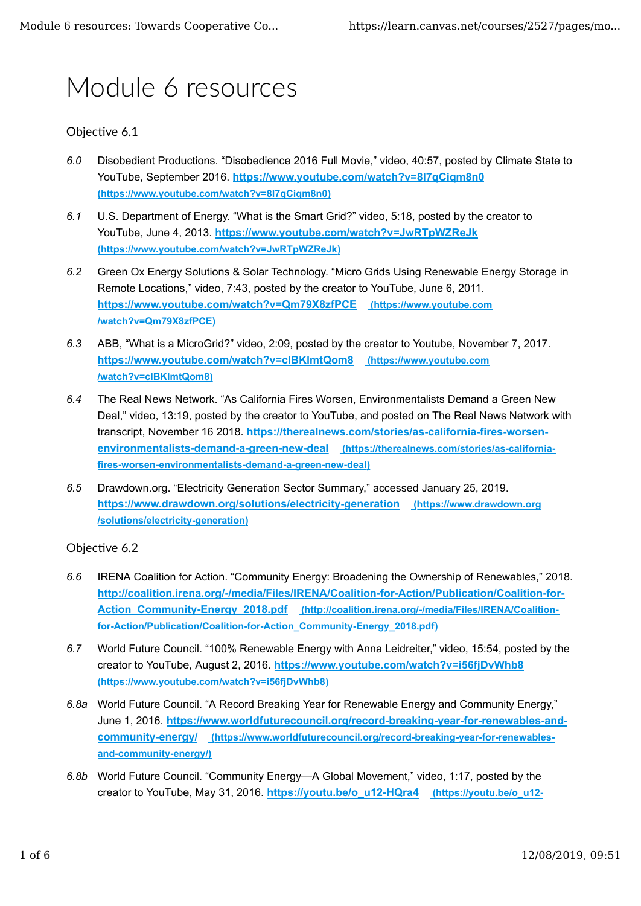# Module 6 resources

# Objective 6.1

- *6.0* Disobedient Productions. "Disobedience 2016 Full Movie," video, 40:57, posted by Climate State to YouTube, September 2016. **https://www.youtube.com/watch?v=8I7qCiqm8n0 (https://www.youtube.com/watch?v=8I7qCiqm8n0)**
- *6.1* U.S. Department of Energy. "What is the Smart Grid?" video, 5:18, posted by the creator to YouTube, June 4, 2013. **https://www.youtube.com/watch?v=JwRTpWZReJk (https://www.youtube.com/watch?v=JwRTpWZReJk)**
- *6.2* Green Ox Energy Solutions & Solar Technology. "Micro Grids Using Renewable Energy Storage in Remote Locations," video, 7:43, posted by the creator to YouTube, June 6, 2011. **https://www.youtube.com/watch?v=Qm79X8zfPCE (https://www.youtube.com /watch?v=Qm79X8zfPCE)**
- *6.3* ABB, "What is a MicroGrid?" video, 2:09, posted by the creator to Youtube, November 7, 2017. **https://www.youtube.com/watch?v=clBKlmtQom8 (https://www.youtube.com /watch?v=clBKlmtQom8)**
- *6.4* The Real News Network. "As California Fires Worsen, Environmentalists Demand a Green New Deal," video, 13:19, posted by the creator to YouTube, and posted on The Real News Network with transcript, November 16 2018. **https://therealnews.com/stories/as-california-fires-worsenenvironmentalists-demand-a-green-new-deal (https://therealnews.com/stories/as-californiafires-worsen-environmentalists-demand-a-green-new-deal)**
- *6.5* Drawdown.org. "Electricity Generation Sector Summary," accessed January 25, 2019. **https://www.drawdown.org/solutions/electricity-generation (https://www.drawdown.org /solutions/electricity-generation)**

## Objective 6.2

- *6.6* IRENA Coalition for Action. "Community Energy: Broadening the Ownership of Renewables," 2018. **http://coalition.irena.org/-/media/Files/IRENA/Coalition-for-Action/Publication/Coalition-for-Action\_Community-Energy\_2018.pdf (http://coalition.irena.org/-/media/Files/IRENA/Coalitionfor-Action/Publication/Coalition-for-Action\_Community-Energy\_2018.pdf)**
- *6.7* World Future Council. "100% Renewable Energy with Anna Leidreiter," video, 15:54, posted by the creator to YouTube, August 2, 2016. **https://www.youtube.com/watch?v=i56fjDvWhb8 (https://www.youtube.com/watch?v=i56fjDvWhb8)**
- *6.8a* World Future Council. "A Record Breaking Year for Renewable Energy and Community Energy," June 1, 2016. **https://www.worldfuturecouncil.org/record-breaking-year-for-renewables-andcommunity-energy/ (https://www.worldfuturecouncil.org/record-breaking-year-for-renewablesand-community-energy/)**
- *6.8b* World Future Council. "Community Energy—A Global Movement," video, 1:17, posted by the creator to YouTube, May 31, 2016. **https://youtu.be/o\_u12-HQra4 (https://youtu.be/o\_u12-**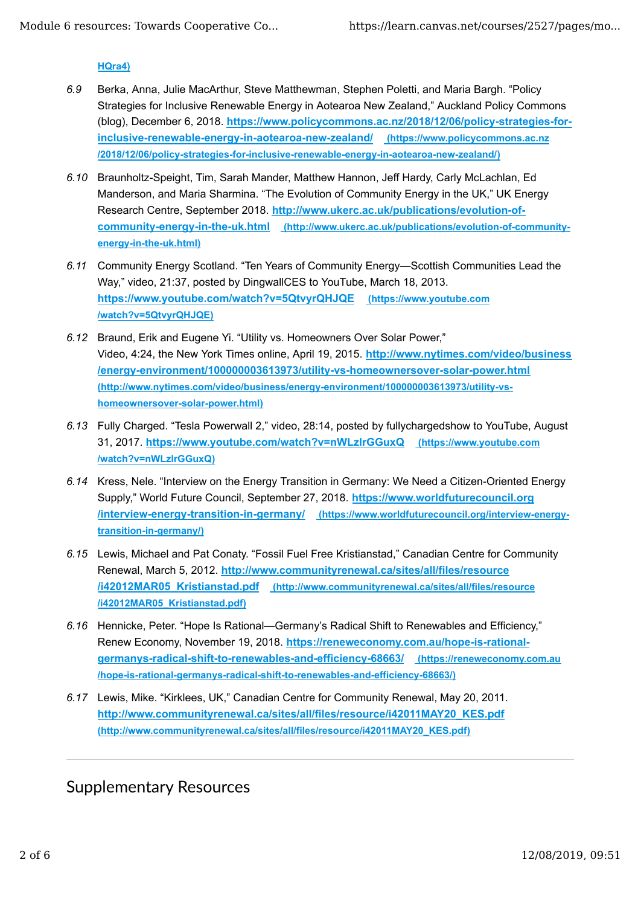### **HQra4)**

- *6.9* Berka, Anna, Julie MacArthur, Steve Matthewman, Stephen Poletti, and Maria Bargh. "Policy Strategies for Inclusive Renewable Energy in Aotearoa New Zealand," Auckland Policy Commons (blog), December 6, 2018. **https://www.policycommons.ac.nz/2018/12/06/policy-strategies-forinclusive-renewable-energy-in-aotearoa-new-zealand/ (https://www.policycommons.ac.nz /2018/12/06/policy-strategies-for-inclusive-renewable-energy-in-aotearoa-new-zealand/)**
- *6.10* Braunholtz-Speight, Tim, Sarah Mander, Matthew Hannon, Jeff Hardy, Carly McLachlan, Ed Manderson, and Maria Sharmina. "The Evolution of Community Energy in the UK," UK Energy Research Centre, September 2018. **http://www.ukerc.ac.uk/publications/evolution-ofcommunity-energy-in-the-uk.html (http://www.ukerc.ac.uk/publications/evolution-of-communityenergy-in-the-uk.html)**
- *6.11* Community Energy Scotland. "Ten Years of Community Energy—Scottish Communities Lead the Way," video, 21:37, posted by DingwallCES to YouTube, March 18, 2013. **https://www.youtube.com/watch?v=5QtvyrQHJQE (https://www.youtube.com /watch?v=5QtvyrQHJQE)**
- *6.12* Braund, Erik and Eugene Yi. "Utility vs. Homeowners Over Solar Power," Video, 4:24, the New York Times online, April 19, 2015. **http://www.nytimes.com/video/business /energy-environment/100000003613973/utility-vs-homeownersover-solar-power.html (http://www.nytimes.com/video/business/energy-environment/100000003613973/utility-vshomeownersover-solar-power.html)**
- *6.13* Fully Charged. "Tesla Powerwall 2," video, 28:14, posted by fullychargedshow to YouTube, August 31, 2017. **https://www.youtube.com/watch?v=nWLzlrGGuxQ (https://www.youtube.com /watch?v=nWLzlrGGuxQ)**
- *6.14* Kress, Nele. "Interview on the Energy Transition in Germany: We Need a Citizen-Oriented Energy Supply," World Future Council, September 27, 2018. **https://www.worldfuturecouncil.org /interview-energy-transition-in-germany/ (https://www.worldfuturecouncil.org/interview-energytransition-in-germany/)**
- *6.15* Lewis, Michael and Pat Conaty. "Fossil Fuel Free Kristianstad," Canadian Centre for Community Renewal, March 5, 2012. **http://www.communityrenewal.ca/sites/all/files/resource /i42012MAR05\_Kristianstad.pdf (http://www.communityrenewal.ca/sites/all/files/resource /i42012MAR05\_Kristianstad.pdf)**
- *6.16* Hennicke, Peter. "Hope Is Rational—Germany's Radical Shift to Renewables and Efficiency," Renew Economy, November 19, 2018. **https://reneweconomy.com.au/hope-is-rationalgermanys-radical-shift-to-renewables-and-efficiency-68663/ (https://reneweconomy.com.au /hope-is-rational-germanys-radical-shift-to-renewables-and-efficiency-68663/)**
- *6.17* Lewis, Mike. "Kirklees, UK," Canadian Centre for Community Renewal, May 20, 2011. **http://www.communityrenewal.ca/sites/all/files/resource/i42011MAY20\_KES.pdf (http://www.communityrenewal.ca/sites/all/files/resource/i42011MAY20\_KES.pdf)**

# Supplementary Resources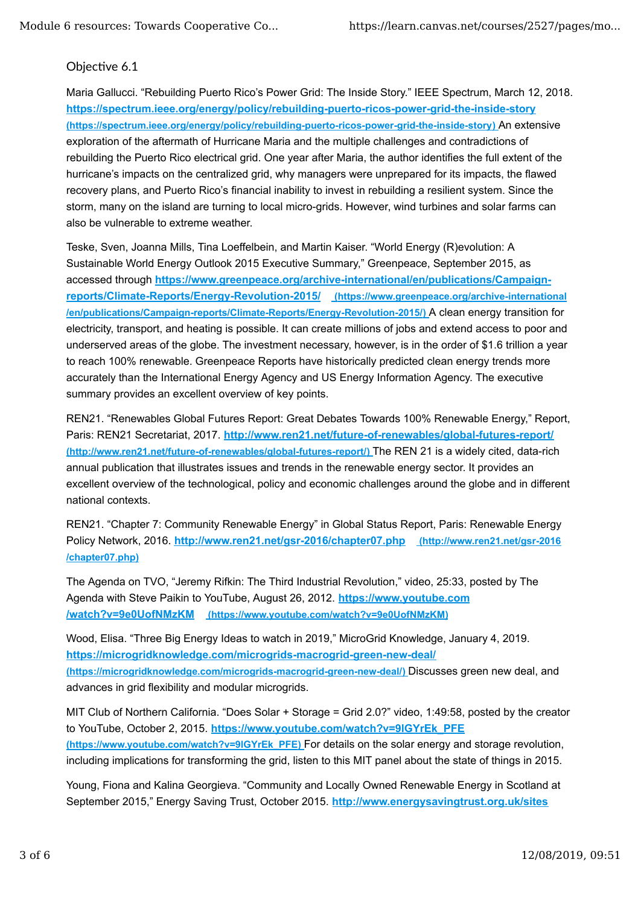## Objective 6.1

Maria Gallucci. "Rebuilding Puerto Rico's Power Grid: The Inside Story." IEEE Spectrum, March 12, 2018. **https://spectrum.ieee.org/energy/policy/rebuilding-puerto-ricos-power-grid-the-inside-story (https://spectrum.ieee.org/energy/policy/rebuilding-puerto-ricos-power-grid-the-inside-story)** An extensive exploration of the aftermath of Hurricane Maria and the multiple challenges and contradictions of rebuilding the Puerto Rico electrical grid. One year after Maria, the author identifies the full extent of the hurricane's impacts on the centralized grid, why managers were unprepared for its impacts, the flawed recovery plans, and Puerto Rico's financial inability to invest in rebuilding a resilient system. Since the storm, many on the island are turning to local micro-grids. However, wind turbines and solar farms can also be vulnerable to extreme weather.

Teske, Sven, Joanna Mills, Tina Loeffelbein, and Martin Kaiser. "World Energy (R)evolution: A Sustainable World Energy Outlook 2015 Executive Summary," Greenpeace, September 2015, as accessed through **https://www.greenpeace.org/archive-international/en/publications/Campaignreports/Climate-Reports/Energy-Revolution-2015/ (https://www.greenpeace.org/archive-international /en/publications/Campaign-reports/Climate-Reports/Energy-Revolution-2015/)** A clean energy transition for electricity, transport, and heating is possible. It can create millions of jobs and extend access to poor and underserved areas of the globe. The investment necessary, however, is in the order of \$1.6 trillion a year to reach 100% renewable. Greenpeace Reports have historically predicted clean energy trends more accurately than the International Energy Agency and US Energy Information Agency. The executive summary provides an excellent overview of key points.

REN21. "Renewables Global Futures Report: Great Debates Towards 100% Renewable Energy," Report, Paris: REN21 Secretariat, 2017. **http://www.ren21.net/future-of-renewables/global-futures-report/ (http://www.ren21.net/future-of-renewables/global-futures-report/)** The REN 21 is a widely cited, data-rich annual publication that illustrates issues and trends in the renewable energy sector. It provides an excellent overview of the technological, policy and economic challenges around the globe and in different national contexts.

REN21. "Chapter 7: Community Renewable Energy" in Global Status Report, Paris: Renewable Energy Policy Network, 2016. **http://www.ren21.net/gsr-2016/chapter07.php (http://www.ren21.net/gsr-2016 /chapter07.php)**

The Agenda on TVO, "Jeremy Rifkin: The Third Industrial Revolution," video, 25:33, posted by The Agenda with Steve Paikin to YouTube, August 26, 2012. **https://www.youtube.com /watch?v=9e0UofNMzKM (https://www.youtube.com/watch?v=9e0UofNMzKM)**

Wood, Elisa. "Three Big Energy Ideas to watch in 2019," MicroGrid Knowledge, January 4, 2019. **https://microgridknowledge.com/microgrids-macrogrid-green-new-deal/ (https://microgridknowledge.com/microgrids-macrogrid-green-new-deal/)** Discusses green new deal, and advances in grid flexibility and modular microgrids.

MIT Club of Northern California. "Does Solar + Storage = Grid 2.0?" video, 1:49:58, posted by the creator to YouTube, October 2, 2015. **https://www.youtube.com/watch?v=9lGYrEk\_PFE (https://www.youtube.com/watch?v=9lGYrEk\_PFE)** For details on the solar energy and storage revolution, including implications for transforming the grid, listen to this MIT panel about the state of things in 2015.

Young, Fiona and Kalina Georgieva. "Community and Locally Owned Renewable Energy in Scotland at September 2015," Energy Saving Trust, October 2015. **http://www.energysavingtrust.org.uk/sites**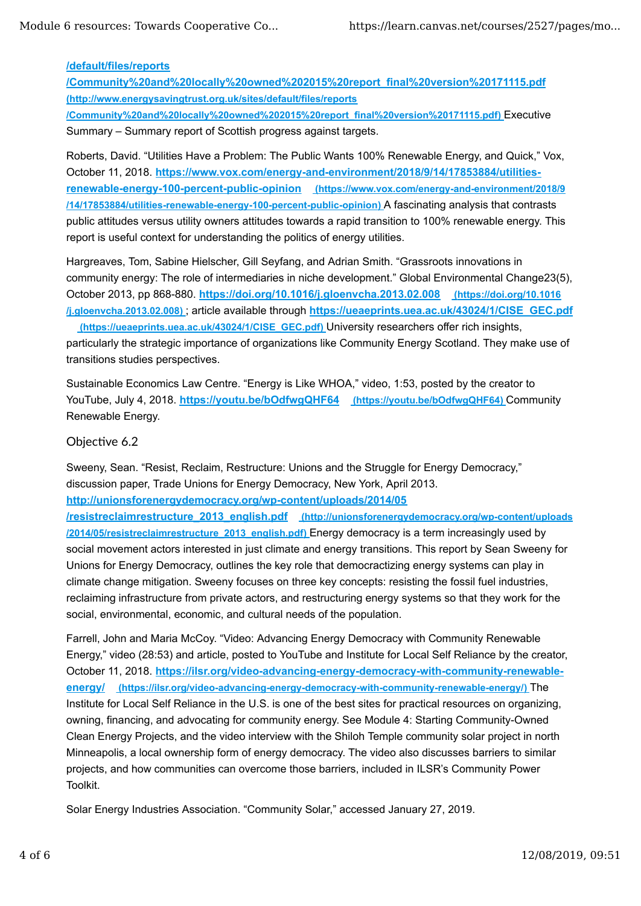### **/default/files/reports**

**/Community%20and%20locally%20owned%202015%20report\_final%20version%20171115.pdf (http://www.energysavingtrust.org.uk/sites/default/files/reports /Community%20and%20locally%20owned%202015%20report\_final%20version%20171115.pdf)** Executive Summary – Summary report of Scottish progress against targets.

Roberts, David. "Utilities Have a Problem: The Public Wants 100% Renewable Energy, and Quick," Vox, October 11, 2018. **https://www.vox.com/energy-and-environment/2018/9/14/17853884/utilitiesrenewable-energy-100-percent-public-opinion (https://www.vox.com/energy-and-environment/2018/9 /14/17853884/utilities-renewable-energy-100-percent-public-opinion)** A fascinating analysis that contrasts public attitudes versus utility owners attitudes towards a rapid transition to 100% renewable energy. This report is useful context for understanding the politics of energy utilities.

Hargreaves, Tom, Sabine Hielscher, Gill Seyfang, and Adrian Smith. "Grassroots innovations in community energy: The role of intermediaries in niche development." Global Environmental Change23(5), October 2013, pp 868-880. **https://doi.org/10.1016/j.gloenvcha.2013.02.008 (https://doi.org/10.1016 /j.gloenvcha.2013.02.008)** ; article available through **https://ueaeprints.uea.ac.uk/43024/1/CISE\_GEC.pdf**

 **(https://ueaeprints.uea.ac.uk/43024/1/CISE\_GEC.pdf)** University researchers offer rich insights, particularly the strategic importance of organizations like Community Energy Scotland. They make use of transitions studies perspectives.

Sustainable Economics Law Centre. "Energy is Like WHOA," video, 1:53, posted by the creator to YouTube, July 4, 2018. https://youtu.be/bOdfwgQHF64 (https://youtu.be/bOdfwgQHF64) Community Renewable Energy.

## Objective 6.2

Sweeny, Sean. "Resist, Reclaim, Restructure: Unions and the Struggle for Energy Democracy," discussion paper, Trade Unions for Energy Democracy, New York, April 2013. **http://unionsforenergydemocracy.org/wp-content/uploads/2014/05**

**/resistreclaimrestructure\_2013\_english.pdf (http://unionsforenergydemocracy.org/wp-content/uploads /2014/05/resistreclaimrestructure\_2013\_english.pdf)** Energy democracy is a term increasingly used by social movement actors interested in just climate and energy transitions. This report by Sean Sweeny for Unions for Energy Democracy, outlines the key role that democractizing energy systems can play in climate change mitigation. Sweeny focuses on three key concepts: resisting the fossil fuel industries, reclaiming infrastructure from private actors, and restructuring energy systems so that they work for the social, environmental, economic, and cultural needs of the population.

Farrell, John and Maria McCoy. "Video: Advancing Energy Democracy with Community Renewable Energy," video (28:53) and article, posted to YouTube and Institute for Local Self Reliance by the creator, October 11, 2018. **https://ilsr.org/video-advancing-energy-democracy-with-community-renewableenergy/ (https://ilsr.org/video-advancing-energy-democracy-with-community-renewable-energy/)** The Institute for Local Self Reliance in the U.S. is one of the best sites for practical resources on organizing, owning, financing, and advocating for community energy. See Module 4: Starting Community-Owned Clean Energy Projects, and the video interview with the Shiloh Temple community solar project in north Minneapolis, a local ownership form of energy democracy. The video also discusses barriers to similar projects, and how communities can overcome those barriers, included in ILSR's Community Power Toolkit.

Solar Energy Industries Association. "Community Solar," accessed January 27, 2019.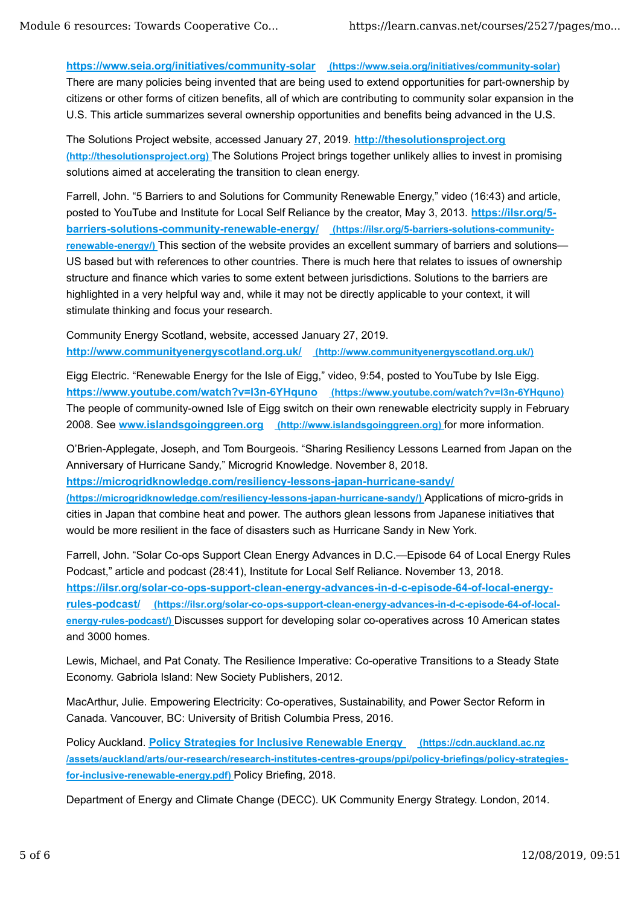## **https://www.seia.org/initiatives/community-solar (https://www.seia.org/initiatives/community-solar)**

There are many policies being invented that are being used to extend opportunities for part-ownership by citizens or other forms of citizen benefits, all of which are contributing to community solar expansion in the U.S. This article summarizes several ownership opportunities and benefits being advanced in the U.S.

The Solutions Project website, accessed January 27, 2019. **http://thesolutionsproject.org (http://thesolutionsproject.org)** The Solutions Project brings together unlikely allies to invest in promising solutions aimed at accelerating the transition to clean energy.

Farrell, John. "5 Barriers to and Solutions for Community Renewable Energy," video (16:43) and article, posted to YouTube and Institute for Local Self Reliance by the creator, May 3, 2013. **https://ilsr.org/5 barriers-solutions-community-renewable-energy/ (https://ilsr.org/5-barriers-solutions-communityrenewable-energy/)** This section of the website provides an excellent summary of barriers and solutions— US based but with references to other countries. There is much here that relates to issues of ownership structure and finance which varies to some extent between jurisdictions. Solutions to the barriers are highlighted in a very helpful way and, while it may not be directly applicable to your context, it will stimulate thinking and focus your research.

Community Energy Scotland, website, accessed January 27, 2019. **http://www.communityenergyscotland.org.uk/ (http://www.communityenergyscotland.org.uk/)**

Eigg Electric. "Renewable Energy for the Isle of Eigg," video, 9:54, posted to YouTube by Isle Eigg. **https://www.youtube.com/watch?v=l3n-6YHquno (https://www.youtube.com/watch?v=l3n-6YHquno)** The people of community-owned Isle of Eigg switch on their own renewable electricity supply in February 2008. See **www.islandsgoinggreen.org (http://www.islandsgoinggreen.org)** for more information.

O'Brien-Applegate, Joseph, and Tom Bourgeois. "Sharing Resiliency Lessons Learned from Japan on the Anniversary of Hurricane Sandy," Microgrid Knowledge. November 8, 2018.

**https://microgridknowledge.com/resiliency-lessons-japan-hurricane-sandy/**

**(https://microgridknowledge.com/resiliency-lessons-japan-hurricane-sandy/)** Applications of micro-grids in cities in Japan that combine heat and power. The authors glean lessons from Japanese initiatives that would be more resilient in the face of disasters such as Hurricane Sandy in New York.

Farrell, John. "Solar Co-ops Support Clean Energy Advances in D.C.—Episode 64 of Local Energy Rules Podcast," article and podcast (28:41), Institute for Local Self Reliance. November 13, 2018. **https://ilsr.org/solar-co-ops-support-clean-energy-advances-in-d-c-episode-64-of-local-energyrules-podcast/ (https://ilsr.org/solar-co-ops-support-clean-energy-advances-in-d-c-episode-64-of-localenergy-rules-podcast/)** Discusses support for developing solar co-operatives across 10 American states and 3000 homes.

Lewis, Michael, and Pat Conaty. The Resilience Imperative: Co-operative Transitions to a Steady State Economy. Gabriola Island: New Society Publishers, 2012.

MacArthur, Julie. Empowering Electricity: Co-operatives, Sustainability, and Power Sector Reform in Canada. Vancouver, BC: University of British Columbia Press, 2016.

Policy Auckland. **Policy Strategies for Inclusive Renewable Energy (https://cdn.auckland.ac.nz /assets/auckland/arts/our-research/research-institutes-centres-groups/ppi/policy-briefings/policy-strategiesfor-inclusive-renewable-energy.pdf)** Policy Briefing, 2018.

Department of Energy and Climate Change (DECC). UK Community Energy Strategy. London, 2014.